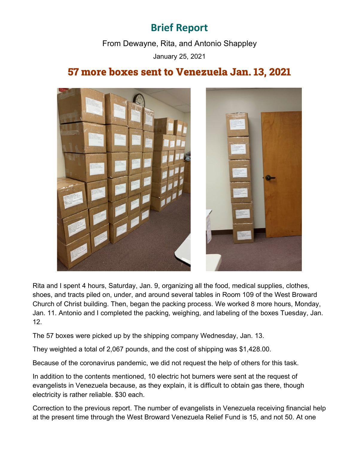## **Brief Report**

From Dewayne, Rita, and Antonio Shappley January 25, 2021

## 57 more boxes sent to Venezuela Jan. 13, 2021



Rita and I spent 4 hours, Saturday, Jan. 9, organizing all the food, medical supplies, clothes, shoes, and tracts piled on, under, and around several tables in Room 109 of the West Broward Church of Christ building. Then, began the packing process. We worked 8 more hours, Monday, Jan. 11. Antonio and I completed the packing, weighing, and labeling of the boxes Tuesday, Jan. 12.

The 57 boxes were picked up by the shipping company Wednesday, Jan. 13.

They weighted a total of 2,067 pounds, and the cost of shipping was \$1,428.00.

Because of the coronavirus pandemic, we did not request the help of others for this task.

In addition to the contents mentioned, 10 electric hot burners were sent at the request of evangelists in Venezuela because, as they explain, it is difficult to obtain gas there, though electricity is rather reliable. \$30 each.

Correction to the previous report. The number of evangelists in Venezuela receiving financial help at the present time through the West Broward Venezuela Relief Fund is 15, and not 50. At one